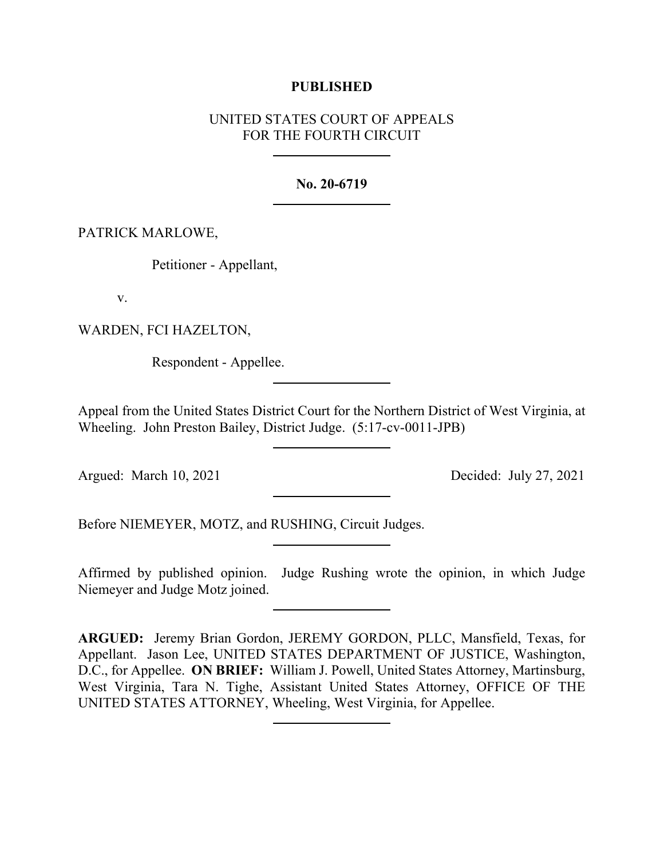## **PUBLISHED**

# UNITED STATES COURT OF APPEALS FOR THE FOURTH CIRCUIT

## **No. 20-6719**

## PATRICK MARLOWE,

Petitioner - Appellant,

v.

WARDEN, FCI HAZELTON,

Respondent - Appellee.

Appeal from the United States District Court for the Northern District of West Virginia, at Wheeling. John Preston Bailey, District Judge. (5:17-cv-0011-JPB)

Argued: March 10, 2021 Decided: July 27, 2021

Before NIEMEYER, MOTZ, and RUSHING, Circuit Judges.

Affirmed by published opinion. Judge Rushing wrote the opinion, in which Judge Niemeyer and Judge Motz joined.

**ARGUED:** Jeremy Brian Gordon, JEREMY GORDON, PLLC, Mansfield, Texas, for Appellant. Jason Lee, UNITED STATES DEPARTMENT OF JUSTICE, Washington, D.C., for Appellee. **ON BRIEF:** William J. Powell, United States Attorney, Martinsburg, West Virginia, Tara N. Tighe, Assistant United States Attorney, OFFICE OF THE UNITED STATES ATTORNEY, Wheeling, West Virginia, for Appellee.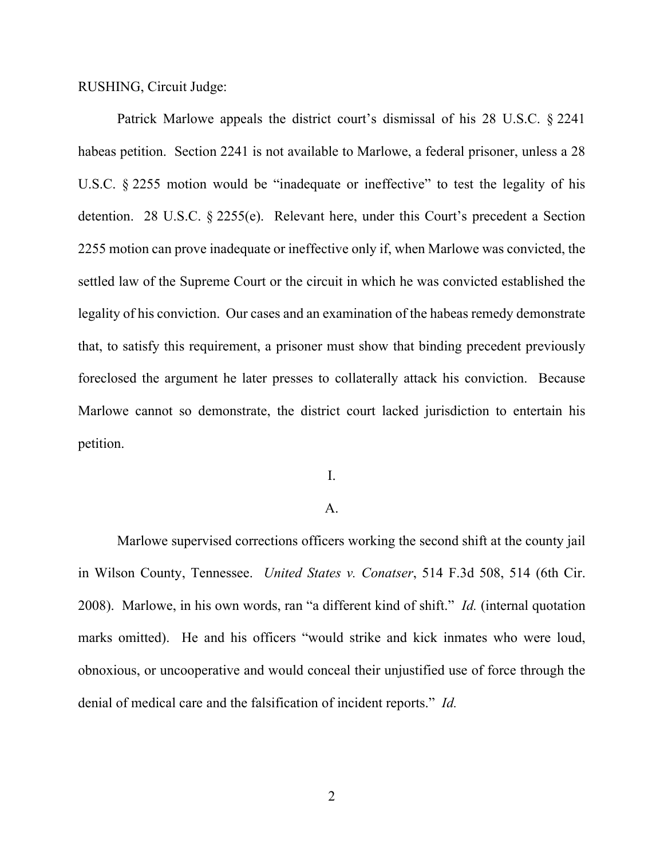RUSHING, Circuit Judge:

Patrick Marlowe appeals the district court's dismissal of his 28 U.S.C. § 2241 habeas petition. Section 2241 is not available to Marlowe, a federal prisoner, unless a 28 U.S.C. § 2255 motion would be "inadequate or ineffective" to test the legality of his detention. 28 U.S.C. § 2255(e). Relevant here, under this Court's precedent a Section 2255 motion can prove inadequate or ineffective only if, when Marlowe was convicted, the settled law of the Supreme Court or the circuit in which he was convicted established the legality of his conviction. Our cases and an examination of the habeas remedy demonstrate that, to satisfy this requirement, a prisoner must show that binding precedent previously foreclosed the argument he later presses to collaterally attack his conviction. Because Marlowe cannot so demonstrate, the district court lacked jurisdiction to entertain his petition.

I.

### A.

Marlowe supervised corrections officers working the second shift at the county jail in Wilson County, Tennessee. *United States v. Conatser*, 514 F.3d 508, 514 (6th Cir. 2008). Marlowe, in his own words, ran "a different kind of shift." *Id.* (internal quotation marks omitted). He and his officers "would strike and kick inmates who were loud, obnoxious, or uncooperative and would conceal their unjustified use of force through the denial of medical care and the falsification of incident reports." *Id.*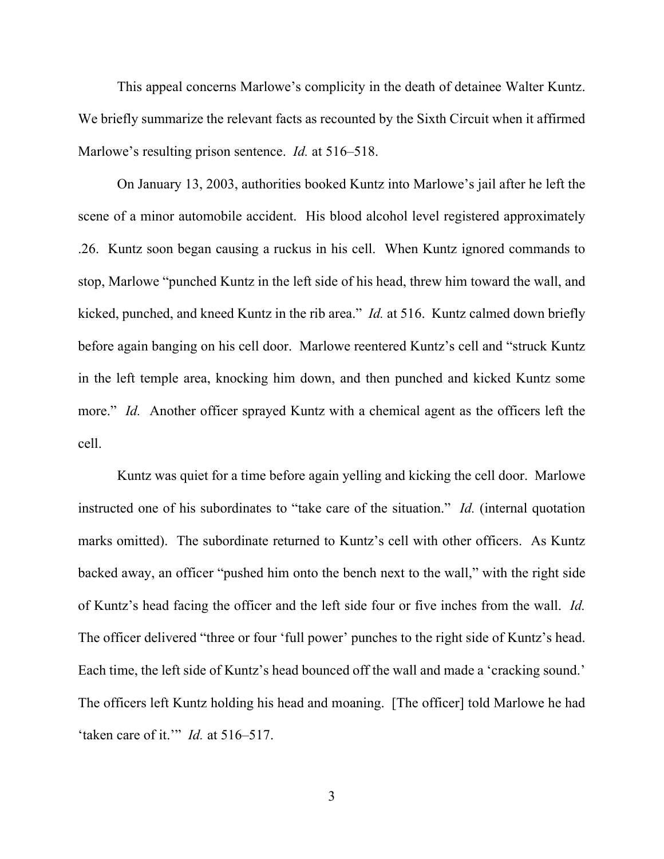This appeal concerns Marlowe's complicity in the death of detainee Walter Kuntz. We briefly summarize the relevant facts as recounted by the Sixth Circuit when it affirmed Marlowe's resulting prison sentence. *Id.* at 516–518.

On January 13, 2003, authorities booked Kuntz into Marlowe's jail after he left the scene of a minor automobile accident. His blood alcohol level registered approximately .26. Kuntz soon began causing a ruckus in his cell. When Kuntz ignored commands to stop, Marlowe "punched Kuntz in the left side of his head, threw him toward the wall, and kicked, punched, and kneed Kuntz in the rib area." *Id.* at 516. Kuntz calmed down briefly before again banging on his cell door. Marlowe reentered Kuntz's cell and "struck Kuntz in the left temple area, knocking him down, and then punched and kicked Kuntz some more." *Id.* Another officer sprayed Kuntz with a chemical agent as the officers left the cell.

Kuntz was quiet for a time before again yelling and kicking the cell door. Marlowe instructed one of his subordinates to "take care of the situation." *Id.* (internal quotation marks omitted). The subordinate returned to Kuntz's cell with other officers. As Kuntz backed away, an officer "pushed him onto the bench next to the wall," with the right side of Kuntz's head facing the officer and the left side four or five inches from the wall. *Id.* The officer delivered "three or four 'full power' punches to the right side of Kuntz's head. Each time, the left side of Kuntz's head bounced off the wall and made a 'cracking sound.' The officers left Kuntz holding his head and moaning. [The officer] told Marlowe he had 'taken care of it.'" *Id.* at 516–517.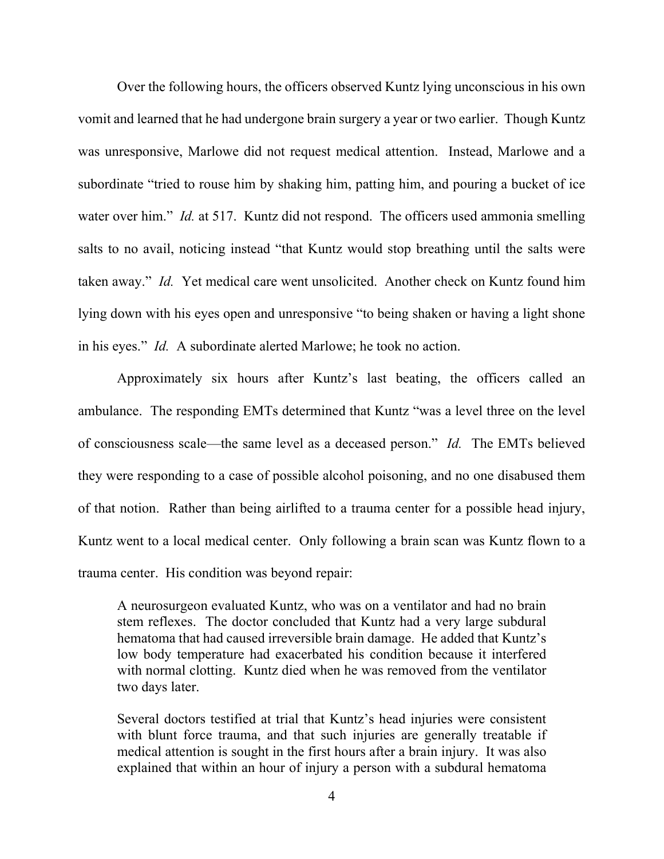Over the following hours, the officers observed Kuntz lying unconscious in his own vomit and learned that he had undergone brain surgery a year or two earlier. Though Kuntz was unresponsive, Marlowe did not request medical attention. Instead, Marlowe and a subordinate "tried to rouse him by shaking him, patting him, and pouring a bucket of ice water over him." *Id.* at 517. Kuntz did not respond. The officers used ammonia smelling salts to no avail, noticing instead "that Kuntz would stop breathing until the salts were taken away." *Id.* Yet medical care went unsolicited. Another check on Kuntz found him lying down with his eyes open and unresponsive "to being shaken or having a light shone in his eyes." *Id.* A subordinate alerted Marlowe; he took no action.

Approximately six hours after Kuntz's last beating, the officers called an ambulance. The responding EMTs determined that Kuntz "was a level three on the level of consciousness scale—the same level as a deceased person." *Id.* The EMTs believed they were responding to a case of possible alcohol poisoning, and no one disabused them of that notion. Rather than being airlifted to a trauma center for a possible head injury, Kuntz went to a local medical center. Only following a brain scan was Kuntz flown to a trauma center. His condition was beyond repair:

A neurosurgeon evaluated Kuntz, who was on a ventilator and had no brain stem reflexes. The doctor concluded that Kuntz had a very large subdural hematoma that had caused irreversible brain damage. He added that Kuntz's low body temperature had exacerbated his condition because it interfered with normal clotting. Kuntz died when he was removed from the ventilator two days later.

Several doctors testified at trial that Kuntz's head injuries were consistent with blunt force trauma, and that such injuries are generally treatable if medical attention is sought in the first hours after a brain injury. It was also explained that within an hour of injury a person with a subdural hematoma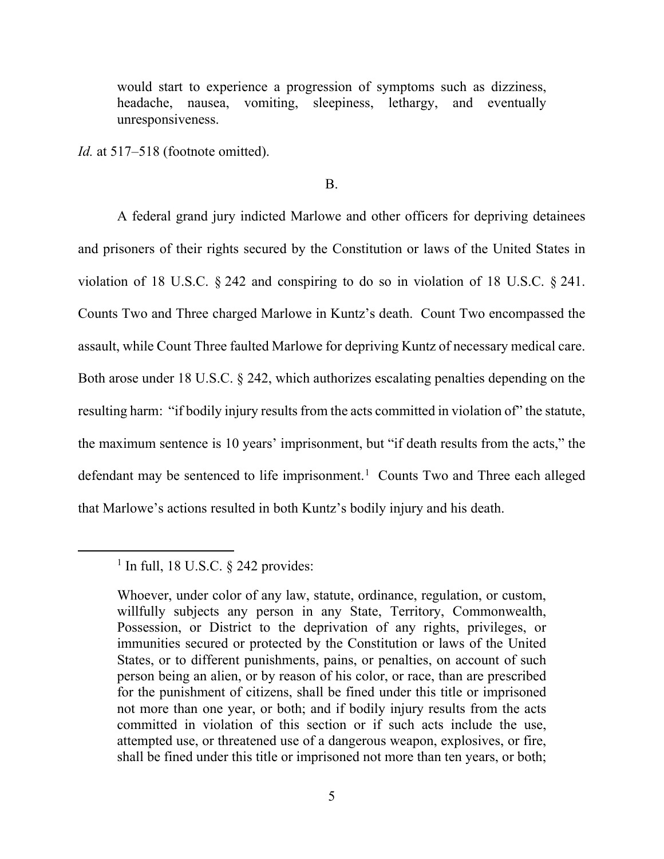would start to experience a progression of symptoms such as dizziness, headache, nausea, vomiting, sleepiness, lethargy, and eventually unresponsiveness.

*Id.* at 517–518 (footnote omitted).

B.

A federal grand jury indicted Marlowe and other officers for depriving detainees and prisoners of their rights secured by the Constitution or laws of the United States in violation of 18 U.S.C. § 242 and conspiring to do so in violation of 18 U.S.C. § 241. Counts Two and Three charged Marlowe in Kuntz's death. Count Two encompassed the assault, while Count Three faulted Marlowe for depriving Kuntz of necessary medical care. Both arose under 18 U.S.C. § 242, which authorizes escalating penalties depending on the resulting harm: "if bodily injury results from the acts committed in violation of" the statute, the maximum sentence is 10 years' imprisonment, but "if death results from the acts," the defendant may be sentenced to life imprisonment.<sup>[1](#page-4-0)</sup> Counts Two and Three each alleged that Marlowe's actions resulted in both Kuntz's bodily injury and his death.

<span id="page-4-0"></span> $<sup>1</sup>$  In full, 18 U.S.C. § 242 provides:</sup>

Whoever, under color of any law, statute, ordinance, regulation, or custom, willfully subjects any person in any State, Territory, Commonwealth, Possession, or District to the deprivation of any rights, privileges, or immunities secured or protected by the Constitution or laws of the United States, or to different punishments, pains, or penalties, on account of such person being an alien, or by reason of his color, or race, than are prescribed for the punishment of citizens, shall be fined under this title or imprisoned not more than one year, or both; and if bodily injury results from the acts committed in violation of this section or if such acts include the use, attempted use, or threatened use of a dangerous weapon, explosives, or fire, shall be fined under this title or imprisoned not more than ten years, or both;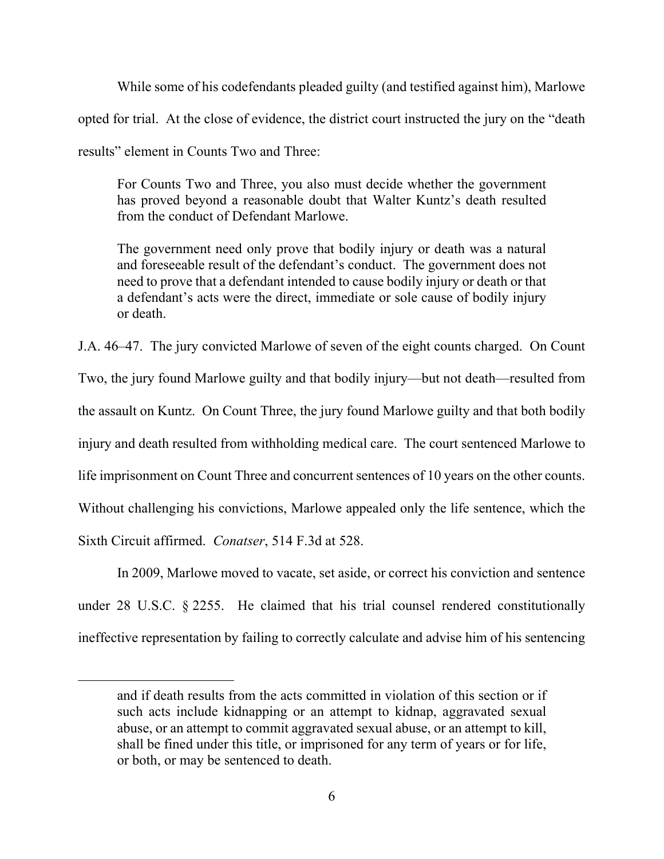While some of his codefendants pleaded guilty (and testified against him), Marlowe opted for trial. At the close of evidence, the district court instructed the jury on the "death results" element in Counts Two and Three:

For Counts Two and Three, you also must decide whether the government has proved beyond a reasonable doubt that Walter Kuntz's death resulted from the conduct of Defendant Marlowe.

The government need only prove that bodily injury or death was a natural and foreseeable result of the defendant's conduct. The government does not need to prove that a defendant intended to cause bodily injury or death or that a defendant's acts were the direct, immediate or sole cause of bodily injury or death.

J.A. 46–47. The jury convicted Marlowe of seven of the eight counts charged. On Count Two, the jury found Marlowe guilty and that bodily injury—but not death—resulted from the assault on Kuntz. On Count Three, the jury found Marlowe guilty and that both bodily injury and death resulted from withholding medical care. The court sentenced Marlowe to life imprisonment on Count Three and concurrent sentences of 10 years on the other counts. Without challenging his convictions, Marlowe appealed only the life sentence, which the Sixth Circuit affirmed. *Conatser*, 514 F.3d at 528.

In 2009, Marlowe moved to vacate, set aside, or correct his conviction and sentence under 28 U.S.C. § 2255. He claimed that his trial counsel rendered constitutionally ineffective representation by failing to correctly calculate and advise him of his sentencing

and if death results from the acts committed in violation of this section or if such acts include kidnapping or an attempt to kidnap, aggravated sexual abuse, or an attempt to commit aggravated sexual abuse, or an attempt to kill, shall be fined under this title, or imprisoned for any term of years or for life, or both, or may be sentenced to death.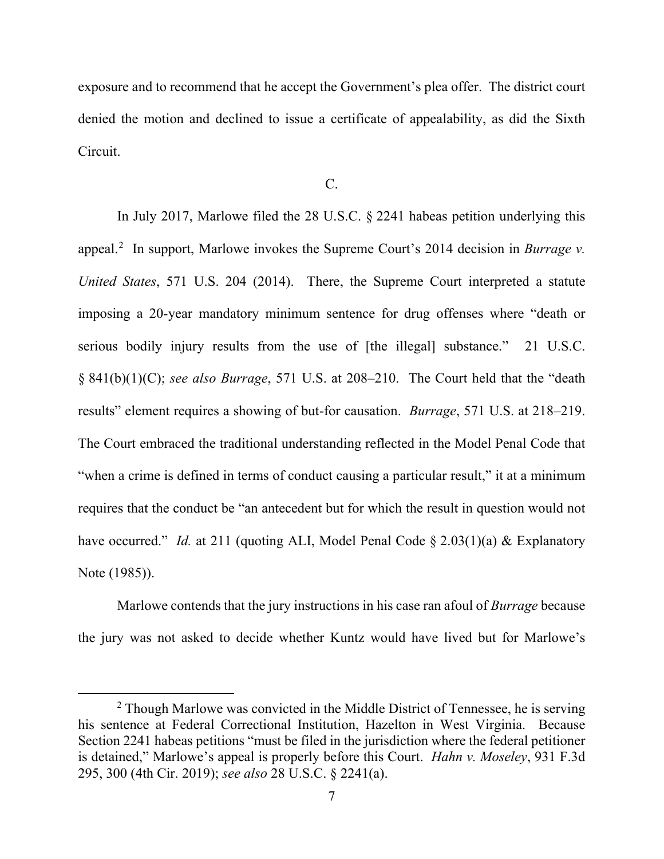exposure and to recommend that he accept the Government's plea offer. The district court denied the motion and declined to issue a certificate of appealability, as did the Sixth Circuit.

C.

In July 2017, Marlowe filed the 28 U.S.C. § 2241 habeas petition underlying this appeal.<sup>[2](#page-6-0)</sup> In support, Marlowe invokes the Supreme Court's 2014 decision in *Burrage v. United States*, 571 U.S. 204 (2014). There, the Supreme Court interpreted a statute imposing a 20-year mandatory minimum sentence for drug offenses where "death or serious bodily injury results from the use of [the illegal] substance." 21 U.S.C. § 841(b)(1)(C); *see also Burrage*, 571 U.S. at 208–210. The Court held that the "death results" element requires a showing of but-for causation. *Burrage*, 571 U.S. at 218–219. The Court embraced the traditional understanding reflected in the Model Penal Code that "when a crime is defined in terms of conduct causing a particular result," it at a minimum requires that the conduct be "an antecedent but for which the result in question would not have occurred." *Id.* at 211 (quoting ALI, Model Penal Code § 2.03(1)(a) & Explanatory Note (1985)).

Marlowe contends that the jury instructions in his case ran afoul of *Burrage* because the jury was not asked to decide whether Kuntz would have lived but for Marlowe's

<span id="page-6-0"></span><sup>&</sup>lt;sup>2</sup> Though Marlowe was convicted in the Middle District of Tennessee, he is serving his sentence at Federal Correctional Institution, Hazelton in West Virginia. Because Section 2241 habeas petitions "must be filed in the jurisdiction where the federal petitioner is detained," Marlowe's appeal is properly before this Court. *Hahn v. Moseley*, 931 F.3d 295, 300 (4th Cir. 2019); *see also* 28 U.S.C. § 2241(a).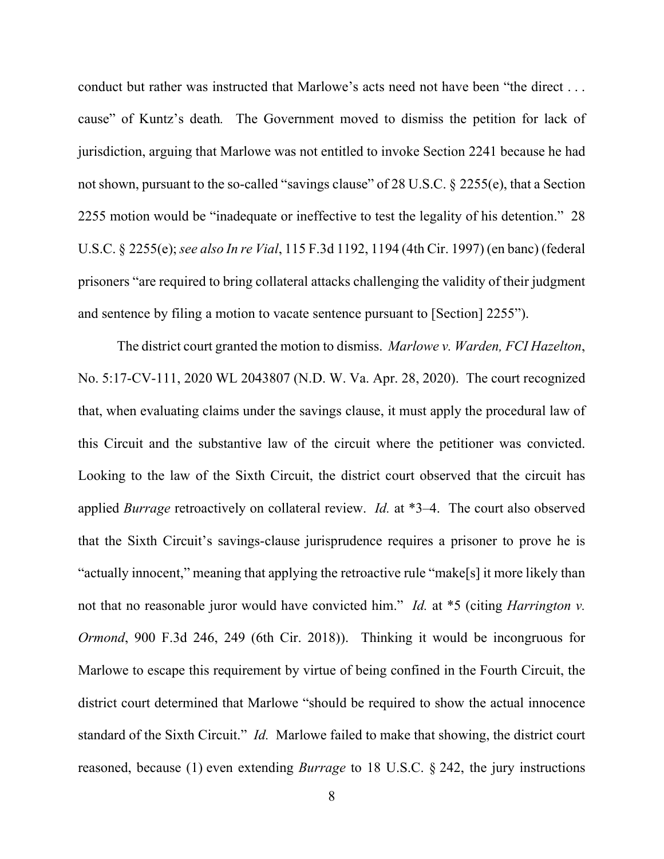conduct but rather was instructed that Marlowe's acts need not have been "the direct . . . cause" of Kuntz's death*.* The Government moved to dismiss the petition for lack of jurisdiction, arguing that Marlowe was not entitled to invoke Section 2241 because he had not shown, pursuant to the so-called "savings clause" of 28 U.S.C. § 2255(e), that a Section 2255 motion would be "inadequate or ineffective to test the legality of his detention." 28 U.S.C. § 2255(e);*see also In re Vial*, 115 F.3d 1192, 1194 (4th Cir. 1997) (en banc) (federal prisoners "are required to bring collateral attacks challenging the validity of their judgment and sentence by filing a motion to vacate sentence pursuant to [Section] 2255").

The district court granted the motion to dismiss. *Marlowe v. Warden, FCI Hazelton*, No. 5:17-CV-111, 2020 WL 2043807 (N.D. W. Va. Apr. 28, 2020). The court recognized that, when evaluating claims under the savings clause, it must apply the procedural law of this Circuit and the substantive law of the circuit where the petitioner was convicted. Looking to the law of the Sixth Circuit, the district court observed that the circuit has applied *Burrage* retroactively on collateral review. *Id.* at \*3–4. The court also observed that the Sixth Circuit's savings-clause jurisprudence requires a prisoner to prove he is "actually innocent," meaning that applying the retroactive rule "make[s] it more likely than not that no reasonable juror would have convicted him." *Id.* at \*5 (citing *Harrington v. Ormond*, 900 F.3d 246, 249 (6th Cir. 2018)). Thinking it would be incongruous for Marlowe to escape this requirement by virtue of being confined in the Fourth Circuit, the district court determined that Marlowe "should be required to show the actual innocence standard of the Sixth Circuit." *Id.* Marlowe failed to make that showing, the district court reasoned, because (1) even extending *Burrage* to 18 U.S.C. § 242, the jury instructions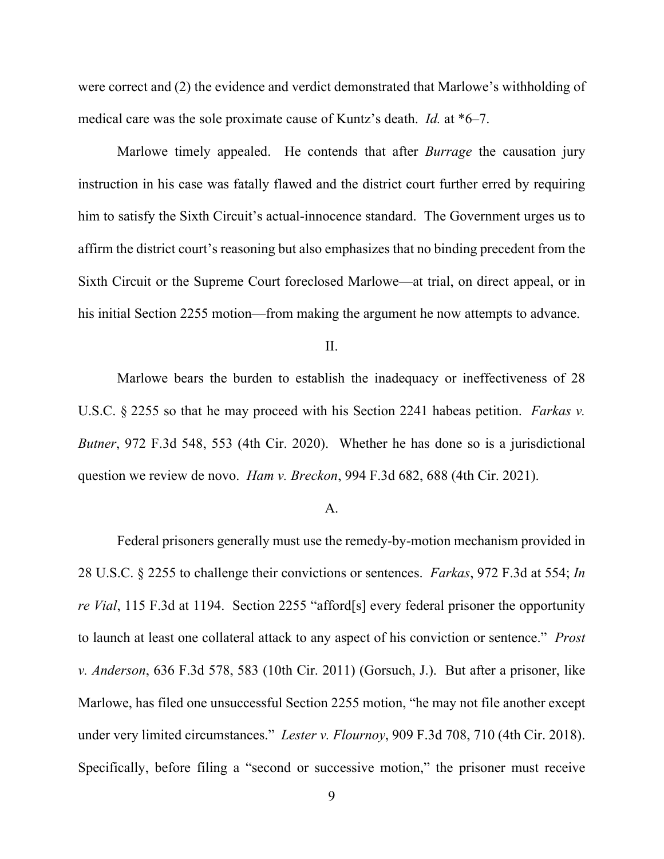were correct and (2) the evidence and verdict demonstrated that Marlowe's withholding of medical care was the sole proximate cause of Kuntz's death. *Id.* at \*6–7.

Marlowe timely appealed. He contends that after *Burrage* the causation jury instruction in his case was fatally flawed and the district court further erred by requiring him to satisfy the Sixth Circuit's actual-innocence standard. The Government urges us to affirm the district court's reasoning but also emphasizes that no binding precedent from the Sixth Circuit or the Supreme Court foreclosed Marlowe—at trial, on direct appeal, or in his initial Section 2255 motion—from making the argument he now attempts to advance.

II.

Marlowe bears the burden to establish the inadequacy or ineffectiveness of 28 U.S.C. § 2255 so that he may proceed with his Section 2241 habeas petition. *Farkas v. Butner*, 972 F.3d 548, 553 (4th Cir. 2020). Whether he has done so is a jurisdictional question we review de novo. *Ham v. Breckon*, 994 F.3d 682, 688 (4th Cir. 2021).

#### A.

Federal prisoners generally must use the remedy-by-motion mechanism provided in 28 U.S.C. § 2255 to challenge their convictions or sentences. *Farkas*, 972 F.3d at 554; *In re Vial*, 115 F.3d at 1194. Section 2255 "afford[s] every federal prisoner the opportunity to launch at least one collateral attack to any aspect of his conviction or sentence." *Prost v. Anderson*, 636 F.3d 578, 583 (10th Cir. 2011) (Gorsuch, J.). But after a prisoner, like Marlowe, has filed one unsuccessful Section 2255 motion, "he may not file another except under very limited circumstances." *Lester v. Flournoy*, 909 F.3d 708, 710 (4th Cir. 2018). Specifically, before filing a "second or successive motion," the prisoner must receive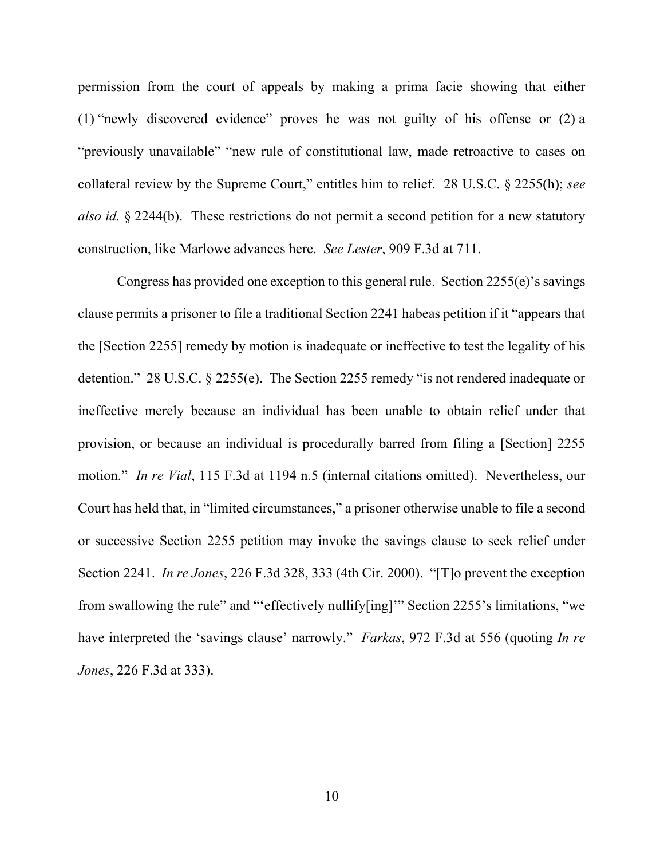permission from the court of appeals by making a prima facie showing that either (1) "newly discovered evidence" proves he was not guilty of his offense or (2) a "previously unavailable" "new rule of constitutional law, made retroactive to cases on collateral review by the Supreme Court," entitles him to relief. 28 U.S.C. § 2255(h); *see also id.* § 2244(b). These restrictions do not permit a second petition for a new statutory construction, like Marlowe advances here. *See Lester*, 909 F.3d at 711.

Congress has provided one exception to this general rule. Section 2255(e)'s savings clause permits a prisoner to file a traditional Section 2241 habeas petition if it "appears that the [Section 2255] remedy by motion is inadequate or ineffective to test the legality of his detention." 28 U.S.C. § 2255(e). The Section 2255 remedy "is not rendered inadequate or ineffective merely because an individual has been unable to obtain relief under that provision, or because an individual is procedurally barred from filing a [Section] 2255 motion." *In re Vial*, 115 F.3d at 1194 n.5 (internal citations omitted). Nevertheless, our Court has held that, in "limited circumstances," a prisoner otherwise unable to file a second or successive Section 2255 petition may invoke the savings clause to seek relief under Section 2241. *In re Jones*, 226 F.3d 328, 333 (4th Cir. 2000). "[T]o prevent the exception from swallowing the rule" and "'effectively nullify[ing]'" Section 2255's limitations, "we have interpreted the 'savings clause' narrowly." *Farkas*, 972 F.3d at 556 (quoting *In re Jones*, 226 F.3d at 333).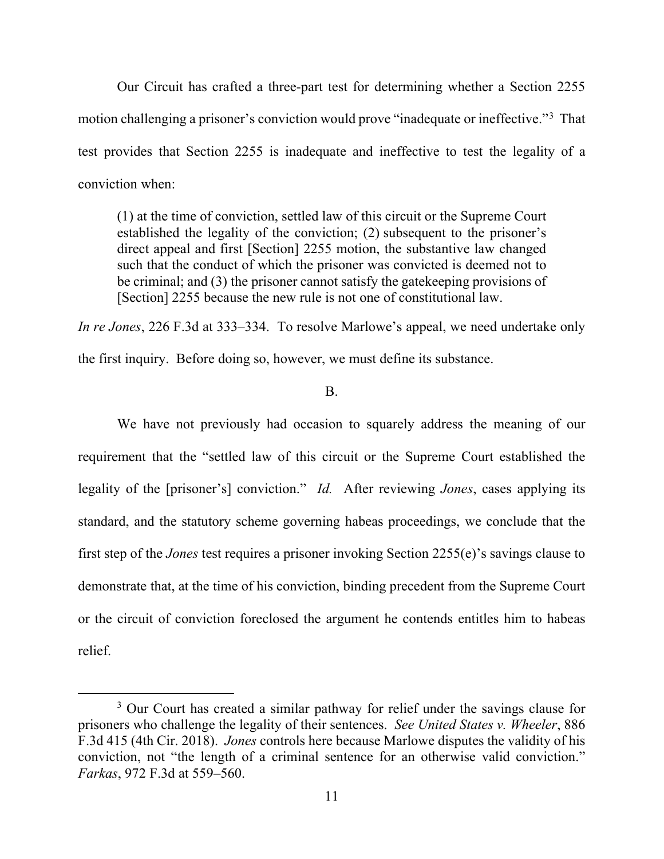Our Circuit has crafted a three-part test for determining whether a Section 2255 motion challenging a prisoner's conviction would prove "inadequate or ineffective."[3](#page-10-0) That test provides that Section 2255 is inadequate and ineffective to test the legality of a conviction when:

(1) at the time of conviction, settled law of this circuit or the Supreme Court established the legality of the conviction; (2) subsequent to the prisoner's direct appeal and first [Section] 2255 motion, the substantive law changed such that the conduct of which the prisoner was convicted is deemed not to be criminal; and (3) the prisoner cannot satisfy the gatekeeping provisions of [Section] 2255 because the new rule is not one of constitutional law.

*In re Jones*, 226 F.3d at 333–334. To resolve Marlowe's appeal, we need undertake only

the first inquiry. Before doing so, however, we must define its substance.

## B.

We have not previously had occasion to squarely address the meaning of our requirement that the "settled law of this circuit or the Supreme Court established the legality of the [prisoner's] conviction." *Id.* After reviewing *Jones*, cases applying its standard, and the statutory scheme governing habeas proceedings, we conclude that the first step of the *Jones* test requires a prisoner invoking Section 2255(e)'s savings clause to demonstrate that, at the time of his conviction, binding precedent from the Supreme Court or the circuit of conviction foreclosed the argument he contends entitles him to habeas relief.

<span id="page-10-0"></span><sup>&</sup>lt;sup>3</sup> Our Court has created a similar pathway for relief under the savings clause for prisoners who challenge the legality of their sentences. *See United States v. Wheeler*, 886 F.3d 415 (4th Cir. 2018). *Jones* controls here because Marlowe disputes the validity of his conviction, not "the length of a criminal sentence for an otherwise valid conviction." *Farkas*, 972 F.3d at 559–560.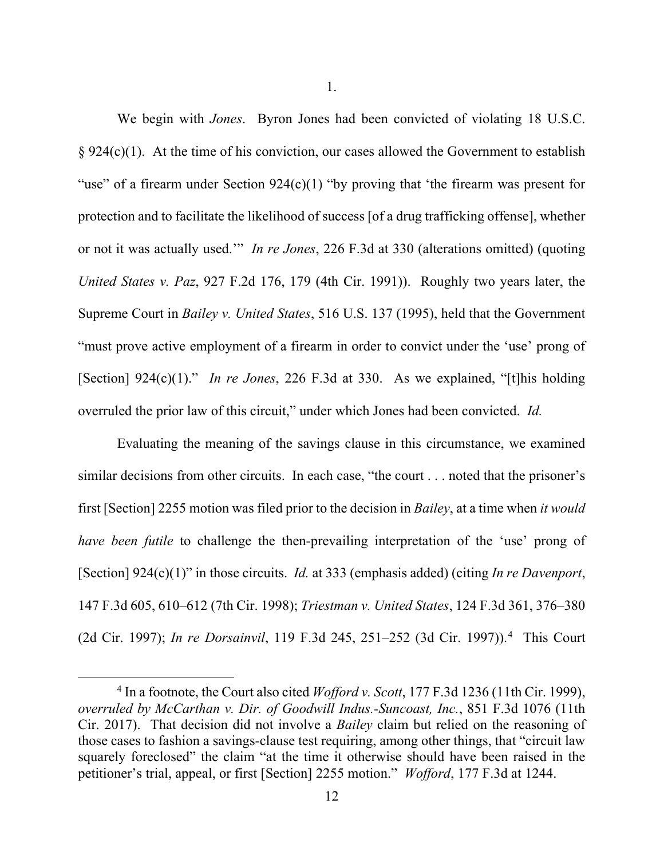We begin with *Jones*. Byron Jones had been convicted of violating 18 U.S.C.  $§ 924(c)(1)$ . At the time of his conviction, our cases allowed the Government to establish "use" of a firearm under Section  $924(c)(1)$  "by proving that 'the firearm was present for protection and to facilitate the likelihood of success [of a drug trafficking offense], whether or not it was actually used.'" *In re Jones*, 226 F.3d at 330 (alterations omitted) (quoting *United States v. Paz*, 927 F.2d 176, 179 (4th Cir. 1991)). Roughly two years later, the Supreme Court in *Bailey v. United States*, 516 U.S. 137 (1995), held that the Government "must prove active employment of a firearm in order to convict under the 'use' prong of [Section] 924(c)(1)." *In re Jones*, 226 F.3d at 330. As we explained, "[t]his holding overruled the prior law of this circuit," under which Jones had been convicted. *Id.*

Evaluating the meaning of the savings clause in this circumstance, we examined similar decisions from other circuits. In each case, "the court . . . noted that the prisoner's first [Section] 2255 motion was filed prior to the decision in *Bailey*, at a time when *it would have been futile* to challenge the then-prevailing interpretation of the 'use' prong of [Section] 924(c)(1)" in those circuits. *Id.* at 333 (emphasis added) (citing *In re Davenport*, 147 F.3d 605, 610–612 (7th Cir. 1998); *Triestman v. United States*, 124 F.3d 361, 376–380 (2d Cir. 1997); *In re Dorsainvil*, 119 F.3d 245, 251–252 (3d Cir. 1997)).[4](#page-11-0) This Court

<span id="page-11-0"></span><sup>4</sup> In a footnote, the Court also cited *Wofford v. Scott*, 177 F.3d 1236 (11th Cir. 1999), *overruled by McCarthan v. Dir. of Goodwill Indus.-Suncoast, Inc.*, 851 F.3d 1076 (11th Cir. 2017). That decision did not involve a *Bailey* claim but relied on the reasoning of those cases to fashion a savings-clause test requiring, among other things, that "circuit law squarely foreclosed" the claim "at the time it otherwise should have been raised in the petitioner's trial, appeal, or first [Section] 2255 motion." *Wofford*, 177 F.3d at 1244.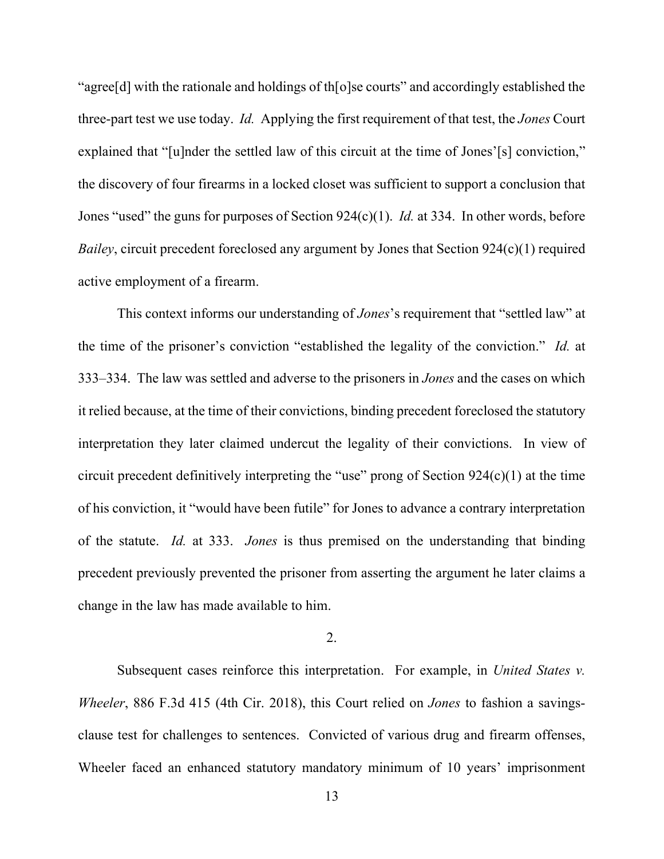"agree[d] with the rationale and holdings of th[o]se courts" and accordingly established the three-part test we use today. *Id.* Applying the first requirement of that test, the *Jones* Court explained that "[u]nder the settled law of this circuit at the time of Jones'[s] conviction," the discovery of four firearms in a locked closet was sufficient to support a conclusion that Jones "used" the guns for purposes of Section 924(c)(1). *Id.* at 334. In other words, before *Bailey*, circuit precedent foreclosed any argument by Jones that Section 924(c)(1) required active employment of a firearm.

This context informs our understanding of *Jones*'s requirement that "settled law" at the time of the prisoner's conviction "established the legality of the conviction." *Id.* at 333–334. The law was settled and adverse to the prisoners in *Jones* and the cases on which it relied because, at the time of their convictions, binding precedent foreclosed the statutory interpretation they later claimed undercut the legality of their convictions. In view of circuit precedent definitively interpreting the "use" prong of Section 924(c)(1) at the time of his conviction, it "would have been futile" for Jones to advance a contrary interpretation of the statute. *Id.* at 333. *Jones* is thus premised on the understanding that binding precedent previously prevented the prisoner from asserting the argument he later claims a change in the law has made available to him.

### 2.

Subsequent cases reinforce this interpretation. For example, in *United States v. Wheeler*, 886 F.3d 415 (4th Cir. 2018), this Court relied on *Jones* to fashion a savingsclause test for challenges to sentences. Convicted of various drug and firearm offenses, Wheeler faced an enhanced statutory mandatory minimum of 10 years' imprisonment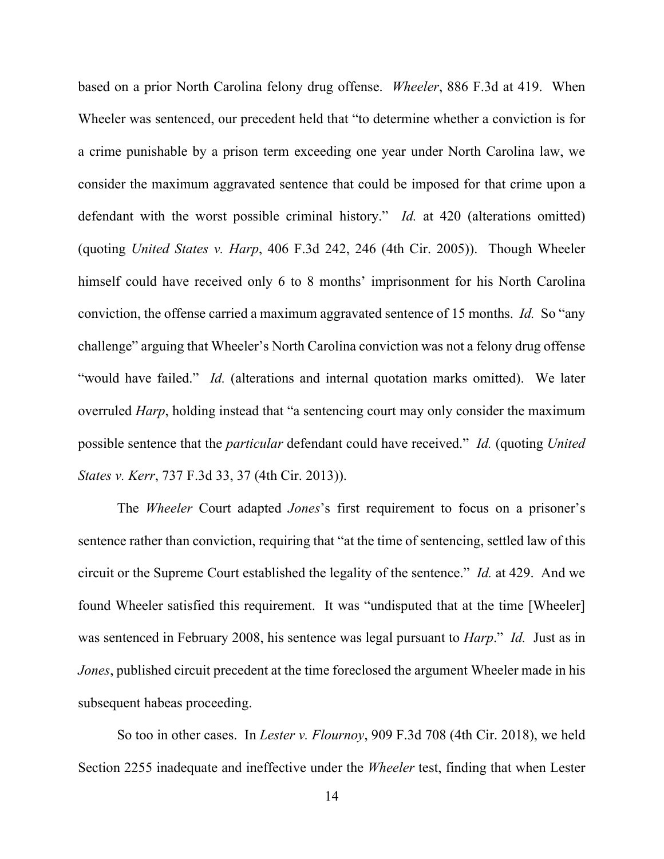based on a prior North Carolina felony drug offense. *Wheeler*, 886 F.3d at 419. When Wheeler was sentenced, our precedent held that "to determine whether a conviction is for a crime punishable by a prison term exceeding one year under North Carolina law, we consider the maximum aggravated sentence that could be imposed for that crime upon a defendant with the worst possible criminal history." *Id.* at 420 (alterations omitted) (quoting *United States v. Harp*, 406 F.3d 242, 246 (4th Cir. 2005)). Though Wheeler himself could have received only 6 to 8 months' imprisonment for his North Carolina conviction, the offense carried a maximum aggravated sentence of 15 months. *Id.* So "any challenge" arguing that Wheeler's North Carolina conviction was not a felony drug offense "would have failed." *Id.* (alterations and internal quotation marks omitted).We later overruled *Harp*, holding instead that "a sentencing court may only consider the maximum possible sentence that the *particular* defendant could have received." *Id.* (quoting *United States v. Kerr*, 737 F.3d 33, 37 (4th Cir. 2013)).

The *Wheeler* Court adapted *Jones*'s first requirement to focus on a prisoner's sentence rather than conviction, requiring that "at the time of sentencing, settled law of this circuit or the Supreme Court established the legality of the sentence." *Id.* at 429. And we found Wheeler satisfied this requirement. It was "undisputed that at the time [Wheeler] was sentenced in February 2008, his sentence was legal pursuant to *Harp*." *Id.* Just as in *Jones*, published circuit precedent at the time foreclosed the argument Wheeler made in his subsequent habeas proceeding.

So too in other cases. In *Lester v. Flournoy*, 909 F.3d 708 (4th Cir. 2018), we held Section 2255 inadequate and ineffective under the *Wheeler* test, finding that when Lester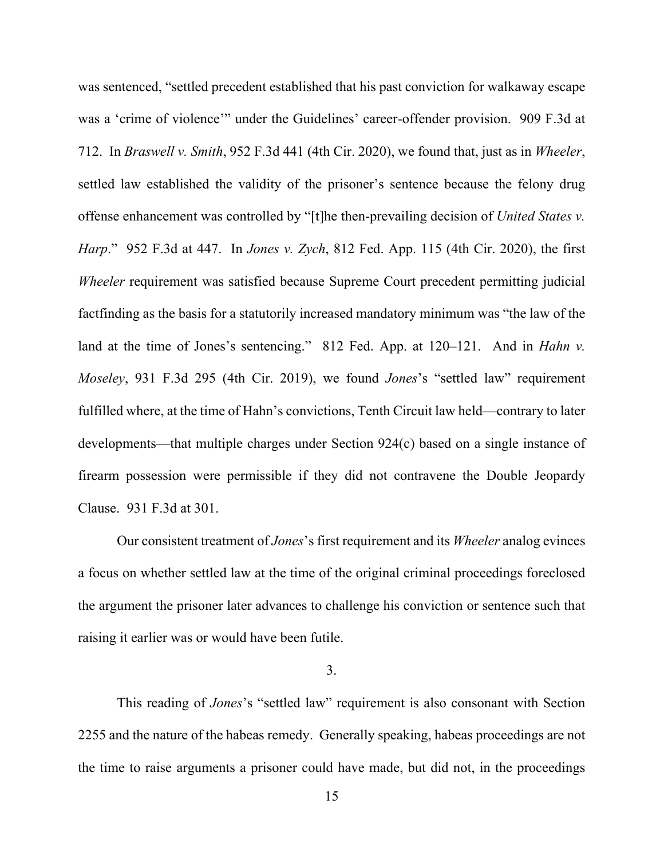was sentenced, "settled precedent established that his past conviction for walkaway escape was a 'crime of violence'" under the Guidelines' career-offender provision. 909 F.3d at 712. In *Braswell v. Smith*, 952 F.3d 441 (4th Cir. 2020), we found that, just as in *Wheeler*, settled law established the validity of the prisoner's sentence because the felony drug offense enhancement was controlled by "[t]he then-prevailing decision of *United States v. Harp*." 952 F.3d at 447. In *Jones v. Zych*, 812 Fed. App. 115 (4th Cir. 2020), the first *Wheeler* requirement was satisfied because Supreme Court precedent permitting judicial factfinding as the basis for a statutorily increased mandatory minimum was "the law of the land at the time of Jones's sentencing." 812 Fed. App. at 120–121. And in *Hahn v*. *Moseley*, 931 F.3d 295 (4th Cir. 2019), we found *Jones*'s "settled law" requirement fulfilled where, at the time of Hahn's convictions, Tenth Circuit law held—contrary to later developments—that multiple charges under Section 924(c) based on a single instance of firearm possession were permissible if they did not contravene the Double Jeopardy Clause. 931 F.3d at 301.

Our consistent treatment of *Jones*'s first requirement and its *Wheeler* analog evinces a focus on whether settled law at the time of the original criminal proceedings foreclosed the argument the prisoner later advances to challenge his conviction or sentence such that raising it earlier was or would have been futile.

## 3.

This reading of *Jones*'s "settled law" requirement is also consonant with Section 2255 and the nature of the habeas remedy. Generally speaking, habeas proceedings are not the time to raise arguments a prisoner could have made, but did not, in the proceedings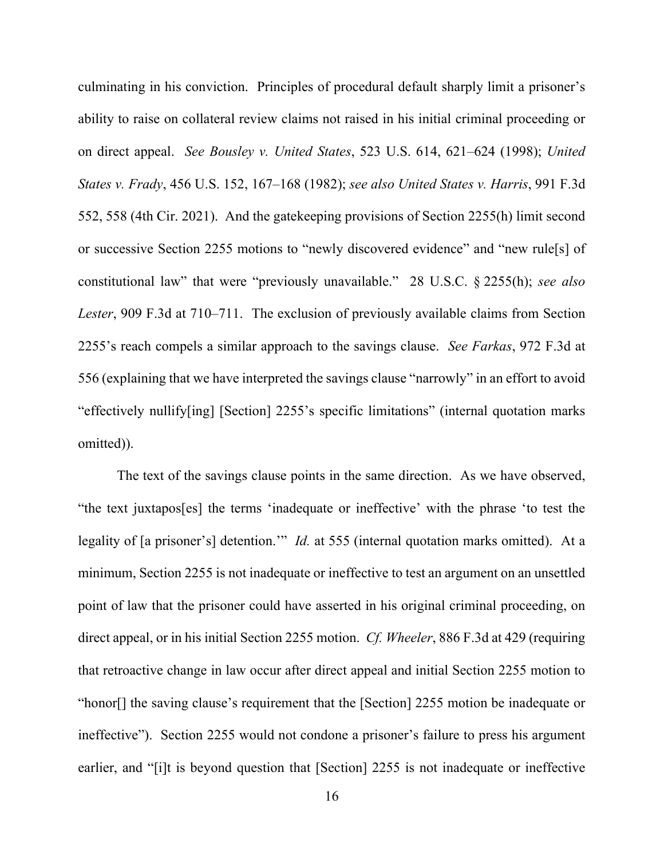culminating in his conviction. Principles of procedural default sharply limit a prisoner's ability to raise on collateral review claims not raised in his initial criminal proceeding or on direct appeal. *See Bousley v. United States*, 523 U.S. 614, 621–624 (1998); *United States v. Frady*, 456 U.S. 152, 167–168 (1982); *see also United States v. Harris*, 991 F.3d 552, 558 (4th Cir. 2021). And the gatekeeping provisions of Section 2255(h) limit second or successive Section 2255 motions to "newly discovered evidence" and "new rule[s] of constitutional law" that were "previously unavailable." 28 U.S.C. § 2255(h); *see also Lester*, 909 F.3d at 710–711. The exclusion of previously available claims from Section 2255's reach compels a similar approach to the savings clause. *See Farkas*, 972 F.3d at 556 (explaining that we have interpreted the savings clause "narrowly" in an effort to avoid "effectively nullify[ing] [Section] 2255's specific limitations" (internal quotation marks omitted)).

The text of the savings clause points in the same direction. As we have observed, "the text juxtapos[es] the terms 'inadequate or ineffective' with the phrase 'to test the legality of [a prisoner's] detention.'" *Id.* at 555 (internal quotation marks omitted). At a minimum, Section 2255 is not inadequate or ineffective to test an argument on an unsettled point of law that the prisoner could have asserted in his original criminal proceeding, on direct appeal, or in his initial Section 2255 motion. *Cf. Wheeler*, 886 F.3d at 429 (requiring that retroactive change in law occur after direct appeal and initial Section 2255 motion to "honor[] the saving clause's requirement that the [Section] 2255 motion be inadequate or ineffective"). Section 2255 would not condone a prisoner's failure to press his argument earlier, and "[i]t is beyond question that [Section] 2255 is not inadequate or ineffective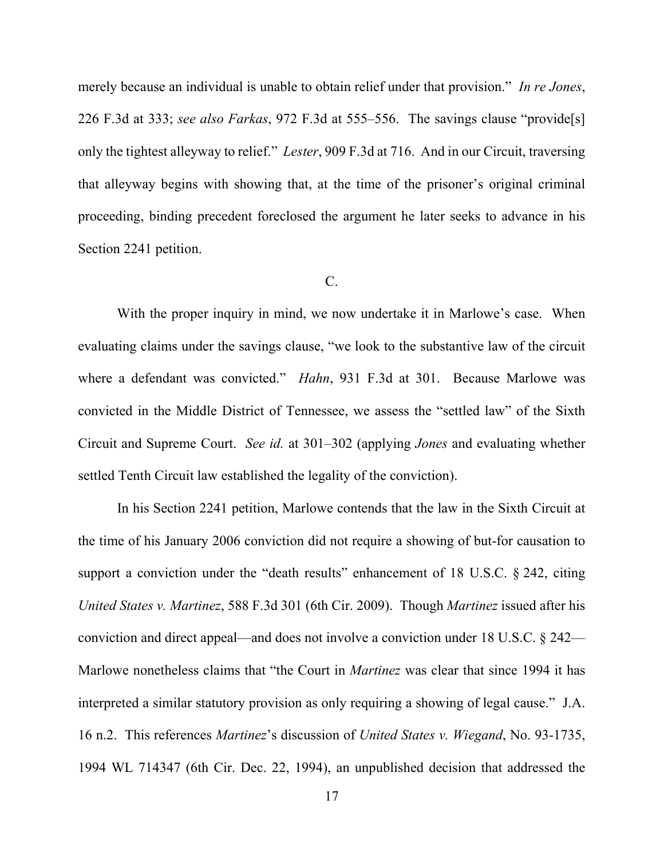merely because an individual is unable to obtain relief under that provision." *In re Jones*, 226 F.3d at 333; *see also Farkas*, 972 F.3d at 555–556. The savings clause "provide[s] only the tightest alleyway to relief." *Lester*, 909 F.3d at 716. And in our Circuit, traversing that alleyway begins with showing that, at the time of the prisoner's original criminal proceeding, binding precedent foreclosed the argument he later seeks to advance in his Section 2241 petition.

### C.

With the proper inquiry in mind, we now undertake it in Marlowe's case. When evaluating claims under the savings clause, "we look to the substantive law of the circuit where a defendant was convicted." *Hahn*, 931 F.3d at 301. Because Marlowe was convicted in the Middle District of Tennessee, we assess the "settled law" of the Sixth Circuit and Supreme Court. *See id.* at 301–302 (applying *Jones* and evaluating whether settled Tenth Circuit law established the legality of the conviction).

In his Section 2241 petition, Marlowe contends that the law in the Sixth Circuit at the time of his January 2006 conviction did not require a showing of but-for causation to support a conviction under the "death results" enhancement of 18 U.S.C. § 242, citing *United States v. Martinez*, 588 F.3d 301 (6th Cir. 2009). Though *Martinez* issued after his conviction and direct appeal—and does not involve a conviction under 18 U.S.C. § 242— Marlowe nonetheless claims that "the Court in *Martinez* was clear that since 1994 it has interpreted a similar statutory provision as only requiring a showing of legal cause." J.A. 16 n.2. This references *Martinez*'s discussion of *United States v. Wiegand*, No. 93-1735, 1994 WL 714347 (6th Cir. Dec. 22, 1994), an unpublished decision that addressed the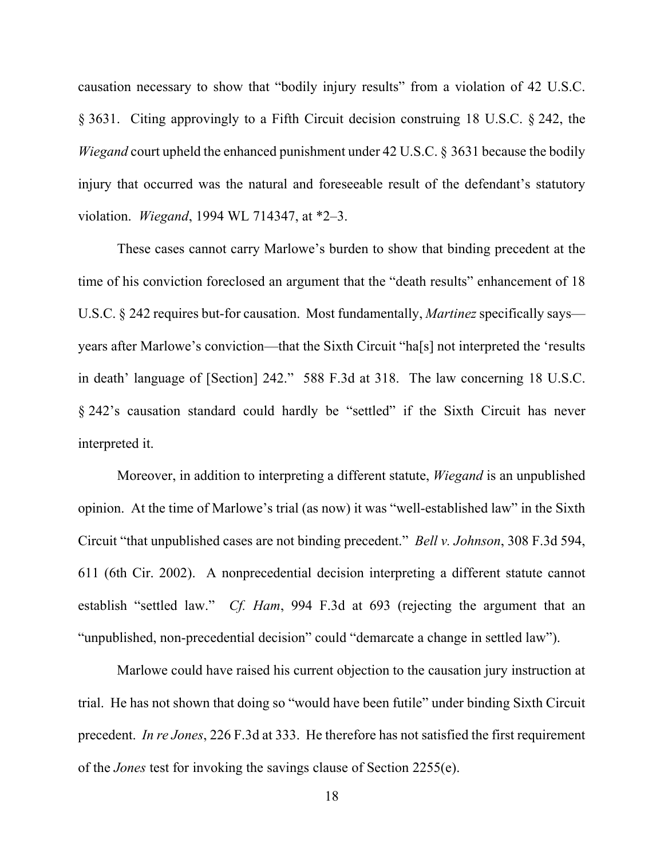causation necessary to show that "bodily injury results" from a violation of 42 U.S.C. § 3631. Citing approvingly to a Fifth Circuit decision construing 18 U.S.C. § 242, the *Wiegand* court upheld the enhanced punishment under 42 U.S.C. § 3631 because the bodily injury that occurred was the natural and foreseeable result of the defendant's statutory violation. *Wiegand*, 1994 WL 714347, at \*2–3.

These cases cannot carry Marlowe's burden to show that binding precedent at the time of his conviction foreclosed an argument that the "death results" enhancement of 18 U.S.C. § 242 requires but-for causation. Most fundamentally, *Martinez* specifically says years after Marlowe's conviction—that the Sixth Circuit "ha[s] not interpreted the 'results in death' language of [Section] 242." 588 F.3d at 318. The law concerning 18 U.S.C. § 242's causation standard could hardly be "settled" if the Sixth Circuit has never interpreted it.

Moreover, in addition to interpreting a different statute, *Wiegand* is an unpublished opinion. At the time of Marlowe's trial (as now) it was "well-established law" in the Sixth Circuit "that unpublished cases are not binding precedent." *Bell v. Johnson*, 308 F.3d 594, 611 (6th Cir. 2002). A nonprecedential decision interpreting a different statute cannot establish "settled law." *Cf. Ham*, 994 F.3d at 693 (rejecting the argument that an "unpublished, non-precedential decision" could "demarcate a change in settled law").

Marlowe could have raised his current objection to the causation jury instruction at trial. He has not shown that doing so "would have been futile" under binding Sixth Circuit precedent. *In re Jones*, 226 F.3d at 333. He therefore has not satisfied the first requirement of the *Jones* test for invoking the savings clause of Section 2255(e).